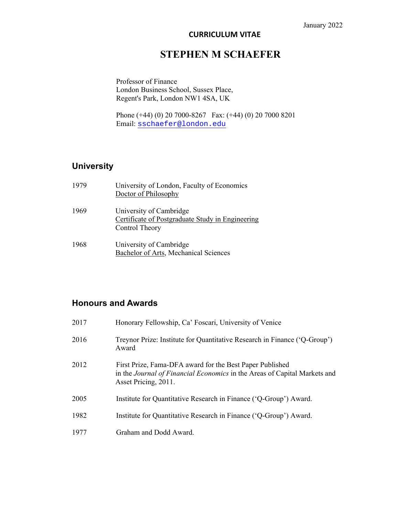#### **CURRICULUM VITAE**

## **STEPHEN M SCHAEFER**

Professor of Finance London Business School, Sussex Place, Regent's Park, London NW1 4SA, UK

Phone (+44) (0) 20 7000-8267 Fax: (+44) (0) 20 7000 8201 Email: sschaefer@london.edu

## **University**

| 1979 | University of London, Faculty of Economics<br>Doctor of Philosophy                            |
|------|-----------------------------------------------------------------------------------------------|
| 1969 | University of Cambridge<br>Certificate of Postgraduate Study in Engineering<br>Control Theory |
| 1968 | University of Cambridge<br>Bachelor of Arts, Mechanical Sciences                              |

## **Honours and Awards**

| 2017 | Honorary Fellowship, Ca' Foscari, University of Venice                                                                                                               |
|------|----------------------------------------------------------------------------------------------------------------------------------------------------------------------|
| 2016 | Treynor Prize: Institute for Quantitative Research in Finance ('Q-Group')<br>Award                                                                                   |
| 2012 | First Prize, Fama-DFA award for the Best Paper Published<br>in the <i>Journal of Financial Economics</i> in the Areas of Capital Markets and<br>Asset Pricing, 2011. |
| 2005 | Institute for Quantitative Research in Finance ('Q-Group') Award.                                                                                                    |
| 1982 | Institute for Quantitative Research in Finance ('Q-Group') Award.                                                                                                    |
| 1977 | Graham and Dodd Award.                                                                                                                                               |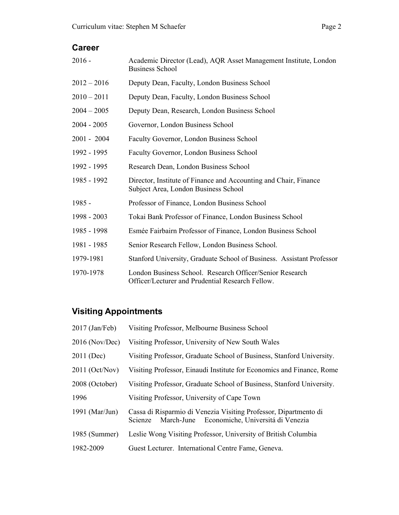## **Career**

| $2016 -$      | Academic Director (Lead), AQR Asset Management Institute, London<br><b>Business School</b>                   |
|---------------|--------------------------------------------------------------------------------------------------------------|
| $2012 - 2016$ | Deputy Dean, Faculty, London Business School                                                                 |
| $2010 - 2011$ | Deputy Dean, Faculty, London Business School                                                                 |
| $2004 - 2005$ | Deputy Dean, Research, London Business School                                                                |
| $2004 - 2005$ | Governor, London Business School                                                                             |
| $2001 - 2004$ | Faculty Governor, London Business School                                                                     |
| 1992 - 1995   | Faculty Governor, London Business School                                                                     |
| 1992 - 1995   | Research Dean, London Business School                                                                        |
| 1985 - 1992   | Director, Institute of Finance and Accounting and Chair, Finance<br>Subject Area, London Business School     |
| $1985 -$      | Professor of Finance, London Business School                                                                 |
| 1998 - 2003   | Tokai Bank Professor of Finance, London Business School                                                      |
| 1985 - 1998   | Esmée Fairbairn Professor of Finance, London Business School                                                 |
| 1981 - 1985   | Senior Research Fellow, London Business School.                                                              |
| 1979-1981     | Stanford University, Graduate School of Business. Assistant Professor                                        |
| 1970-1978     | London Business School. Research Officer/Senior Research<br>Officer/Lecturer and Prudential Research Fellow. |

# **Visiting Appointments**

| 2017 (Jan/Feb)   | Visiting Professor, Melbourne Business School                                                                               |
|------------------|-----------------------------------------------------------------------------------------------------------------------------|
| $2016$ (Nov/Dec) | Visiting Professor, University of New South Wales                                                                           |
| 2011 (Dec)       | Visiting Professor, Graduate School of Business, Stanford University.                                                       |
| 2011 (Oct/Nov)   | Visiting Professor, Einaudi Institute for Economics and Finance, Rome                                                       |
| 2008 (October)   | Visiting Professor, Graduate School of Business, Stanford University.                                                       |
| 1996             | Visiting Professor, University of Cape Town                                                                                 |
| 1991 (Mar/Jun)   | Cassa di Risparmio di Venezia Visiting Professor, Dipartmento di<br>March-June Economiche, Universitá di Venezia<br>Scienze |
| 1985 (Summer)    | Leslie Wong Visiting Professor, University of British Columbia                                                              |
| 1982-2009        | Guest Lecturer. International Centre Fame, Geneva.                                                                          |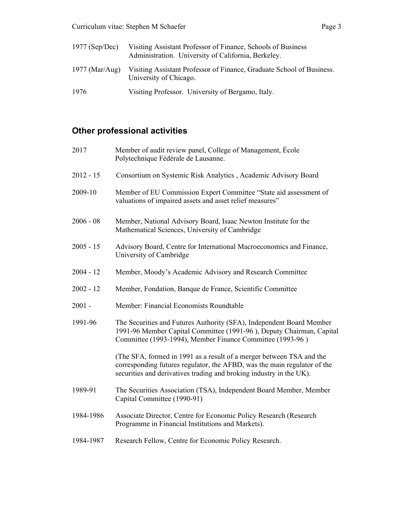| $1977$ (Sep/Dec) | Visiting Assistant Professor of Finance, Schools of Business<br>Administration. University of California, Berkeley. |
|------------------|---------------------------------------------------------------------------------------------------------------------|
| 1977 (Mar/Aug)   | Visiting Assistant Professor of Finance, Graduate School of Business.<br>University of Chicago.                     |
| 1976             | Visiting Professor. University of Bergamo, Italy.                                                                   |

# **Other professional activities**

| 2017        | Member of audit review panel, College of Management, Ecole<br>Polytechnique Fédérale de Lausanne.                                                                                                                       |
|-------------|-------------------------------------------------------------------------------------------------------------------------------------------------------------------------------------------------------------------------|
| $2012 - 15$ | Consortium on Systemic Risk Analytics, Academic Advisory Board                                                                                                                                                          |
| 2009-10     | Member of EU Commission Expert Committee "State aid assessment of<br>valuations of impaired assets and asset relief measures"                                                                                           |
| $2006 - 08$ | Member, National Advisory Board, Isaac Newton Institute for the<br>Mathematical Sciences, University of Cambridge                                                                                                       |
| $2005 - 15$ | Advisory Board, Centre for International Macroeconomics and Finance,<br>University of Cambridge                                                                                                                         |
| $2004 - 12$ | Member, Moody's Academic Advisory and Research Committee                                                                                                                                                                |
| $2002 - 12$ | Member, Fondation, Banque de France, Scientific Committee                                                                                                                                                               |
| $2001 -$    | Member: Financial Economists Roundtable                                                                                                                                                                                 |
| 1991-96     | The Securities and Futures Authority (SFA), Independent Board Member<br>1991-96 Member Capital Committee (1991-96), Deputy Chairman, Capital<br>Committee (1993-1994), Member Finance Committee (1993-96)               |
|             | (The SFA, formed in 1991 as a result of a merger between TSA and the<br>corresponding futures regulator, the AFBD, was the main regulator of the<br>securities and derivatives trading and broking industry in the UK). |
| 1989-91     | The Securities Association (TSA), Independent Board Member, Member<br>Capital Committee (1990-91)                                                                                                                       |
| 1984-1986   | Associate Director, Centre for Economic Policy Research (Research<br>Programme in Financial Institutions and Markets).                                                                                                  |
| 1984-1987   | Research Fellow, Centre for Economic Policy Research.                                                                                                                                                                   |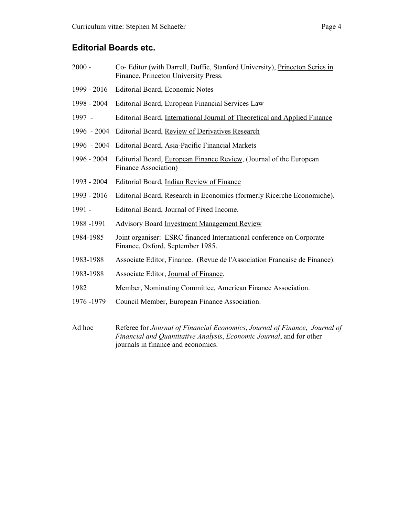#### **Editorial Boards etc.**

- 2000 Co- Editor (with Darrell, Duffie, Stanford University), Princeton Series in Finance, Princeton University Press.
- 1999 2016 Editorial Board, Economic Notes
- 1998 2004 Editorial Board, European Financial Services Law
- 1997 Editorial Board, International Journal of Theoretical and Applied Finance
- 1996 2004 Editorial Board, Review of Derivatives Research
- 1996 2004 Editorial Board, Asia-Pacific Financial Markets
- 1996 2004 Editorial Board, European Finance Review, (Journal of the European Finance Association)
- 1993 2004 Editorial Board, Indian Review of Finance
- 1993 2016 Editorial Board, Research in Economics (formerly Ricerche Economiche).
- 1991 Editorial Board, Journal of Fixed Income.
- 1988 -1991 Advisory Board Investment Management Review
- 1984-1985 Joint organiser: ESRC financed International conference on Corporate Finance, Oxford, September 1985.
- 1983-1988 Associate Editor, Finance. (Revue de l'Association Francaise de Finance).
- 1983-1988 Associate Editor, Journal of Finance.
- 1982 Member, Nominating Committee, American Finance Association.
- 1976 -1979 Council Member, European Finance Association.
- Ad hoc Referee for *Journal of Financial Economics*, *Journal of Finance*, *Journal of Financial and Quantitative Analysis*, *Economic Journal*, and for other journals in finance and economics.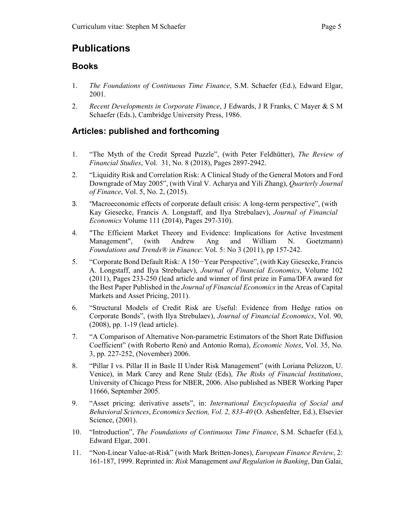## **Publications**

#### **Books**

- 1. *The Foundations of Continuous Time Finance*, S.M. Schaefer (Ed.), Edward Elgar, 2001.
- 2. *Recent Developments in Corporate Finance*, J Edwards, J R Franks, C Mayer & S M Schaefer (Eds.), Cambridge University Press, 1986.

## **Articles: published and forthcoming**

- 1. "The Myth of the Credit Spread Puzzle", (with Peter Feldhütter), *The Review of Financial Studies*, Vol. 31, No. 8 (2018), Pages 2897-2942.
- 2. "Liquidity Risk and Correlation Risk: A Clinical Study of the General Motors and Ford Downgrade of May 2005", (with Viral V. Acharya and Yili Zhang), *Quarterly Journal of Finance*, Vol. 5, No. 2, (2015).
- 3. "Macroeconomic effects of corporate default crisis: A long-term perspective", (with Kay Giesecke, Francis A. Longstaff, and Ilya Strebulaev), *Journal of Financial Economics* Volume 111 (2014), Pages 297-310).
- 4. "The Efficient Market Theory and Evidence: Implications for Active Investment Management", (with Andrew Ang and William N. Goetzmann) *Foundations and Trends® in Finance*: Vol. 5: No 3 (2011), pp 157-242.
- 5. "Corporate Bond Default Risk: A 150*−*Year Perspective", (with Kay Giesecke, Francis A. Longstaff, and Ilya Strebulaev), *Journal of Financial Economics*, Volume 102 (2011), Pages 233-250 (lead article and winner of first prize in Fama/DFA award for the Best Paper Published in the *Journal of Financial Economics* in the Areas of Capital Markets and Asset Pricing, 2011).
- 6. "Structural Models of Credit Risk are Useful: Evidence from Hedge ratios on Corporate Bonds", (with Ilya Strebulaev), *Journal of Financial Economics*, Vol. 90, (2008), pp. 1-19 (lead article).
- 7. "A Comparison of Alternative Non-parametric Estimators of the Short Rate Diffusion Coefficient" (with Roberto Renò and Antonio Roma), *Economic Notes*, Vol. 35, No. 3, pp. 227-252, (November) 2006.
- 8. "Pillar I vs. Pillar II in Basle II Under Risk Management" (with Loriana Pelizzon, U. Venice), in Mark Carey and Rene Stulz (Eds), *The Risks of Financial Institutions*, University of Chicago Press for NBER, 2006. Also published as NBER Working Paper 11666, September 2005.
- 9. "Asset pricing: derivative assets", in: *International Encyclopaedia of Social and Behavioral Sciences*, *Economics Section, Vol. 2, 833-40* (O. Ashenfelter, Ed.), Elsevier Science, (2001).
- 10. "Introduction", *The Foundations of Continuous Time Finance*, S.M. Schaefer (Ed.), Edward Elgar, 2001.
- 11. "Non-Linear Value-at-Risk" (with Mark Britten-Jones), *European Finance Review*, 2: 161-187, 1999. Reprinted in: *Risk* Management *and Regulation in Banking*, Dan Galai,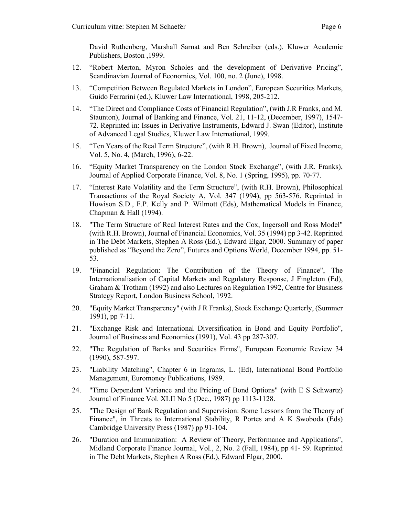David Ruthenberg, Marshall Sarnat and Ben Schreiber (eds.). Kluwer Academic Publishers, Boston ,1999.

- 12. "Robert Merton, Myron Scholes and the development of Derivative Pricing", Scandinavian Journal of Economics, Vol. 100, no. 2 (June), 1998.
- 13. "Competition Between Regulated Markets in London", European Securities Markets, Guido Ferrarini (ed.), Kluwer Law International, 1998, 205-212.
- 14. "The Direct and Compliance Costs of Financial Regulation", (with J.R Franks, and M. Staunton), Journal of Banking and Finance, Vol. 21, 11-12, (December, 1997), 1547- 72. Reprinted in: Issues in Derivative Instruments, Edward J. Swan (Editor), Institute of Advanced Legal Studies, Kluwer Law International, 1999.
- 15. "Ten Years of the Real Term Structure", (with R.H. Brown), Journal of Fixed Income, Vol. 5, No. 4, (March, 1996), 6-22.
- 16. "Equity Market Transparency on the London Stock Exchange", (with J.R. Franks), Journal of Applied Corporate Finance, Vol. 8, No. 1 (Spring, 1995), pp. 70-77.
- 17. "Interest Rate Volatility and the Term Structure", (with R.H. Brown), Philosophical Transactions of the Royal Society A, Vol. 347 (1994), pp 563-576. Reprinted in Howison S.D., F.P. Kelly and P. Wilmott (Eds), Mathematical Models in Finance, Chapman & Hall (1994).
- 18. "The Term Structure of Real Interest Rates and the Cox, Ingersoll and Ross Model" (with R.H. Brown), Journal of Financial Economics, Vol. 35 (1994) pp 3-42. Reprinted in The Debt Markets, Stephen A Ross (Ed.), Edward Elgar, 2000. Summary of paper published as "Beyond the Zero", Futures and Options World, December 1994, pp. 51- 53.
- 19. "Financial Regulation: The Contribution of the Theory of Finance", The Internationalisation of Capital Markets and Regulatory Response, J Fingleton (Ed), Graham & Trotham (1992) and also Lectures on Regulation 1992, Centre for Business Strategy Report, London Business School, 1992.
- 20. "Equity Market Transparency" (with J R Franks), Stock Exchange Quarterly, (Summer 1991), pp 7-11.
- 21. "Exchange Risk and International Diversification in Bond and Equity Portfolio", Journal of Business and Economics (1991), Vol. 43 pp 287-307.
- 22. "The Regulation of Banks and Securities Firms", European Economic Review 34 (1990), 587-597.
- 23. "Liability Matching", Chapter 6 in Ingrams, L. (Ed), International Bond Portfolio Management, Euromoney Publications, 1989.
- 24. "Time Dependent Variance and the Pricing of Bond Options" (with E S Schwartz) Journal of Finance Vol. XLII No 5 (Dec., 1987) pp 1113-1128.
- 25. "The Design of Bank Regulation and Supervision: Some Lessons from the Theory of Finance", in Threats to International Stability, R Portes and A K Swoboda (Eds) Cambridge University Press (1987) pp 91-104.
- 26. "Duration and Immunization: A Review of Theory, Performance and Applications", Midland Corporate Finance Journal, Vol., 2, No. 2 (Fall, 1984), pp 41- 59. Reprinted in The Debt Markets, Stephen A Ross (Ed.), Edward Elgar, 2000.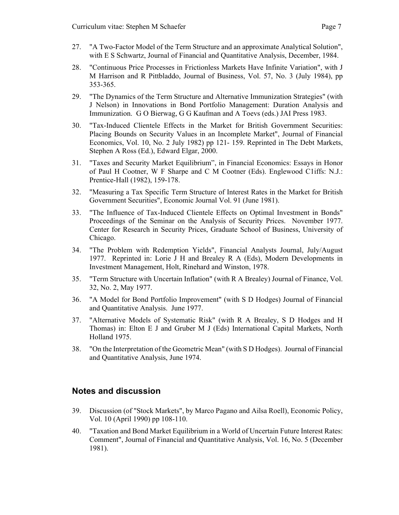- 27. "A Two-Factor Model of the Term Structure and an approximate Analytical Solution", with E S Schwartz, Journal of Financial and Quantitative Analysis, December, 1984.
- 28. "Continuous Price Processes in Frictionless Markets Have Infinite Variation", with J M Harrison and R Pittbladdo, Journal of Business, Vol. 57, No. 3 (July 1984), pp 353-365.
- 29. "The Dynamics of the Term Structure and Alternative Immunization Strategies" (with J Nelson) in Innovations in Bond Portfolio Management: Duration Analysis and Immunization. G O Bierwag, G G Kaufman and A Toevs (eds.) JAI Press 1983.
- 30. "Tax-Induced Clientele Effects in the Market for British Government Securities: Placing Bounds on Security Values in an Incomplete Market", Journal of Financial Economics, Vol. 10, No. 2 July 1982) pp 121- 159. Reprinted in The Debt Markets, Stephen A Ross (Ed.), Edward Elgar, 2000.
- 31. "Taxes and Security Market Equilibrium", in Financial Economics: Essays in Honor of Paul H Cootner, W F Sharpe and C M Cootner (Eds). Englewood C1iffs: N.J.: Prentice-Hall (1982), 159-178.
- 32. "Measuring a Tax Specific Term Structure of Interest Rates in the Market for British Government Securities", Economic Journal Vol. 91 (June 1981).
- 33. "The Influence of Tax-Induced Clientele Effects on Optimal Investment in Bonds" Proceedings of the Seminar on the Analysis of Security Prices. November 1977. Center for Research in Security Prices, Graduate School of Business, University of Chicago.
- 34. "The Problem with Redemption Yields", Financial Analysts Journal, July/August 1977. Reprinted in: Lorie J H and Brealey R A (Eds), Modern Developments in Investment Management, Holt, Rinehard and Winston, 1978.
- 35. "Term Structure with Uncertain Inflation" (with R A Brealey) Journal of Finance, Vol. 32, No. 2, May 1977.
- 36. "A Model for Bond Portfolio Improvement" (with S D Hodges) Journal of Financial and Quantitative Analysis. June 1977.
- 37. "Alternative Models of Systematic Risk" (with R A Brealey, S D Hodges and H Thomas) in: Elton E J and Gruber M J (Eds) International Capital Markets, North Holland 1975.
- 38. "On the Interpretation of the Geometric Mean" (with S D Hodges). Journal of Financial and Quantitative Analysis, June 1974.

## **Notes and discussion**

- 39. Discussion (of "Stock Markets", by Marco Pagano and Ailsa Roell), Economic Policy, Vol. 10 (April 1990) pp 108-110.
- 40. "Taxation and Bond Market Equilibrium in a World of Uncertain Future Interest Rates: Comment", Journal of Financial and Quantitative Analysis, Vol. 16, No. 5 (December 1981).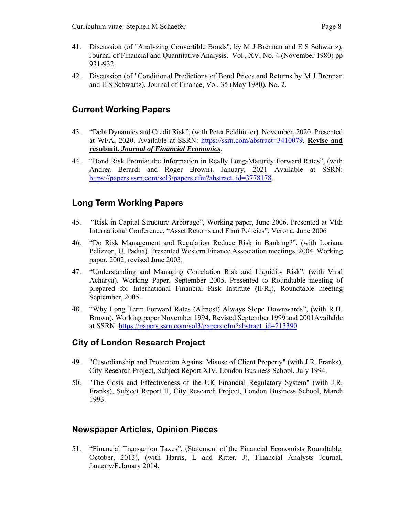- 41. Discussion (of "Analyzing Convertible Bonds", by M J Brennan and E S Schwartz), Journal of Financial and Quantitative Analysis. Vol., XV, No. 4 (November 1980) pp 931-932.
- 42. Discussion (of "Conditional Predictions of Bond Prices and Returns by M J Brennan and E S Schwartz), Journal of Finance, Vol. 35 (May 1980), No. 2.

## **Current Working Papers**

- 43. "Debt Dynamics and Credit Risk", (with Peter Feldhütter). November, 2020. Presented at WFA, 2020. Available at SSRN: https://ssrn.com/abstract=3410079. **Revise and resubmit,** *Journal of Financial Economics*.
- 44. "Bond Risk Premia: the Information in Really Long-Maturity Forward Rates", (with Andrea Berardi and Roger Brown). January, 2021 Available at SSRN: https://papers.ssrn.com/sol3/papers.cfm?abstract\_id=3778178.

## **Long Term Working Papers**

- 45. "Risk in Capital Structure Arbitrage", Working paper, June 2006. Presented at VIth International Conference, "Asset Returns and Firm Policies", Verona, June 2006
- 46. "Do Risk Management and Regulation Reduce Risk in Banking?", (with Loriana Pelizzon, U. Padua). Presented Western Finance Association meetings, 2004. Working paper, 2002, revised June 2003.
- 47. "Understanding and Managing Correlation Risk and Liquidity Risk", (with Viral Acharya). Working Paper, September 2005. Presented to Roundtable meeting of prepared for International Financial Risk Institute (IFRI), Roundtable meeting September, 2005.
- 48. "Why Long Term Forward Rates (Almost) Always Slope Downwards", (with R.H. Brown), Working paper November 1994, Revised September 1999 and 2001Available at SSRN: https://papers.ssrn.com/sol3/papers.cfm?abstract\_id=213390

## **City of London Research Project**

- 49. "Custodianship and Protection Against Misuse of Client Property" (with J.R. Franks), City Research Project, Subject Report XIV, London Business School, July 1994.
- 50. "The Costs and Effectiveness of the UK Financial Regulatory System" (with J.R. Franks), Subject Report II, City Research Project, London Business School, March 1993.

## **Newspaper Articles, Opinion Pieces**

51. "Financial Transaction Taxes", (Statement of the Financial Economists Roundtable, October, 2013), (with Harris, L and Ritter, J), Financial Analysts Journal, January/February 2014.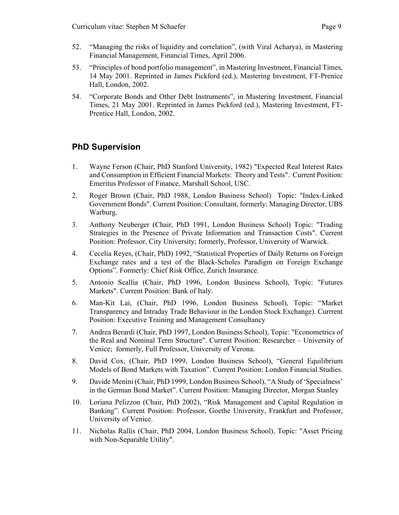- 52. "Managing the risks of liquidity and correlation", (with Viral Acharya), in Mastering Financial Management, Financial Times, April 2006.
- 53. "Principles of bond portfolio management", in Mastering Investment, Financial Times, 14 May 2001. Reprinted in James Pickford (ed.), Mastering Investment, FT-Prenice Hall, London, 2002.
- 54. "Corporate Bonds and Other Debt Instruments", in Mastering Investment, Financial Times, 21 May 2001. Reprinted in James Pickford (ed.), Mastering Investment, FT-Prentice Hall, London, 2002.

## **PhD Supervision**

- 1. Wayne Ferson (Chair, PhD Stanford University, 1982) "Expected Real Interest Rates and Consumption in Efficient Financial Markets: Theory and Tests". Current Position: Emeritus Professor of Finance, Marshall School, USC.
- 2. Roger Brown (Chair, PhD 1988, London Business School) Topic: "Index-Linked Government Bonds". Current Position: Consultant, formerly: Managing Director, UBS Warburg.
- 3. Anthony Neuberger (Chair, PhD 1991, London Business School) Topic: "Trading Strategies in the Presence of Private Information and Transaction Costs". Current Position: Professor, City University; formerly, Professor, University of Warwick.
- 4. Cecelia Reyes, (Chair, PhD) 1992, "Statistical Properties of Daily Returns on Foreign Exchange rates and a test of the Black-Scholes Paradigm on Foreign Exchange Options". Formerly: Chief Risk Office, Zurich Insurance.
- 5. Antonio Scallia (Chair, PhD 1996, London Business School), Topic: "Futures Markets". Current Position: Bank of Italy.
- 6. Man-Kit Lai, (Chair, PhD 1996, London Business School), Topic: "Market Transparency and Intraday Trade Behaviour in the London Stock Exchange). Currrent Position: Executive Training and Management Consultancy
- 7. Andrea Berardi (Chair, PhD 1997, London Business School), Topic: "Econometrics of the Real and Nominal Term Structure". Current Position: Researcher – University of Venice; formerly, Full Professor, University of Verona.
- 8. David Cox, (Chair, PhD 1999, London Business School), "General Equilibrium Models of Bond Markets with Taxation". Current Position: London Financial Studies.
- 9. Davide Menini (Chair, PhD 1999, London Business School), "A Study of 'Specialness' in the German Bond Market". Current Position: Managing Director, Morgan Stanley
- 10. Loriana Pelizzon (Chair, PhD 2002), "Risk Management and Capital Regulation in Banking". Current Position: Professor, Goethe University, Frankfurt and Professor, University of Venice.
- 11. Nicholas Rallis (Chair, PhD 2004, London Business School), Topic: "Asset Pricing with Non-Separable Utility".